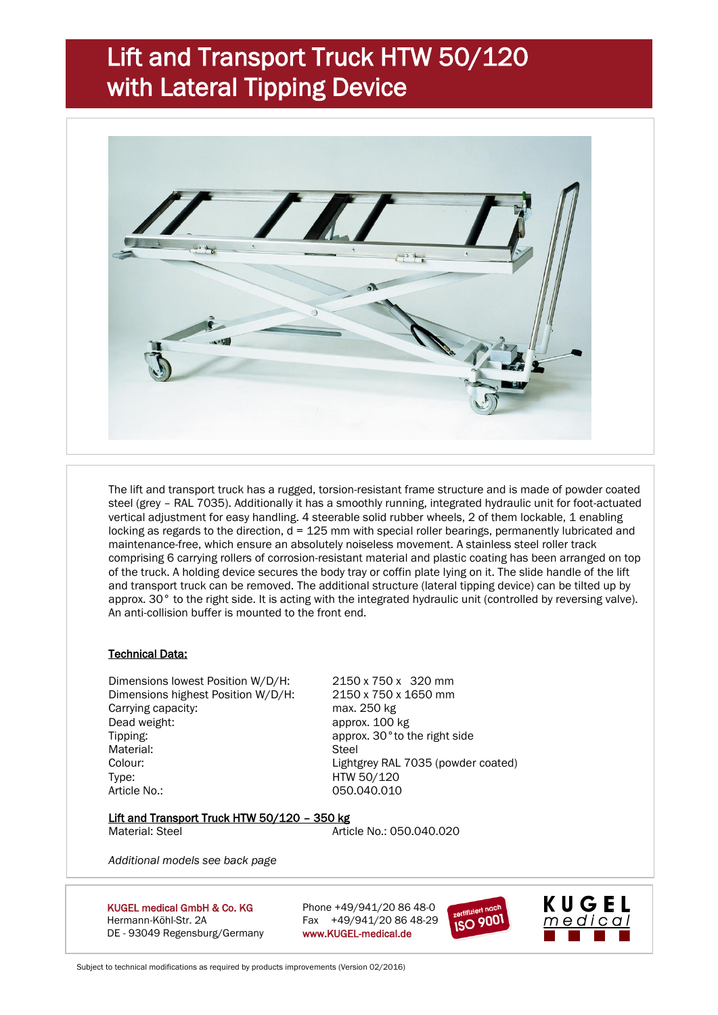## Lift and Transport Truck HTW 50/120 with Lateral Tipping Device



The lift and transport truck has a rugged, torsion-resistant frame structure and is made of powder coated steel (grey – RAL 7035). Additionally it has a smoothly running, integrated hydraulic unit for foot-actuated vertical adjustment for easy handling. 4 steerable solid rubber wheels, 2 of them lockable, 1 enabling locking as regards to the direction,  $d = 125$  mm with special roller bearings, permanently lubricated and maintenance-free, which ensure an absolutely noiseless movement. A stainless steel roller track comprising 6 carrying rollers of corrosion-resistant material and plastic coating has been arranged on top of the truck. A holding device secures the body tray or coffin plate lying on it. The slide handle of the lift and transport truck can be removed. The additional structure (lateral tipping device) can be tilted up by approx. 30° to the right side. It is acting with the integrated hydraulic unit (controlled by reversing valve). An anti-collision buffer is mounted to the front end.

## Technical Data:

Dimensions lowest Position W/D/H: 2150 x 750 x 320 mm Dimensions highest Position W/D/H: 2150 x 750 x 1650 mm Carrying capacity: max. 250 kg Dead weight: approx. 100 kg Tipping: Tipping: Tipping: The right side approx. 30° to the right side Material: Steel Colour: Lightgrey RAL 7035 (powder coated) Type: HTW 50/120 Article No.: 050.040.010

### Lift and Transport Truck HTW 50/120 - 350 kg

Material: Steel **Article No.: 050.040.020** 

*Additional models see back page*

KUGEL medical GmbH & Co. KG Phone  $+49/941/20.8648-0$ Hermann-Köhl-Str. 2A Fax +49/941/20 86 48-29 DE - 93049 Regensburg/Germany www.KUGEL-medical.de